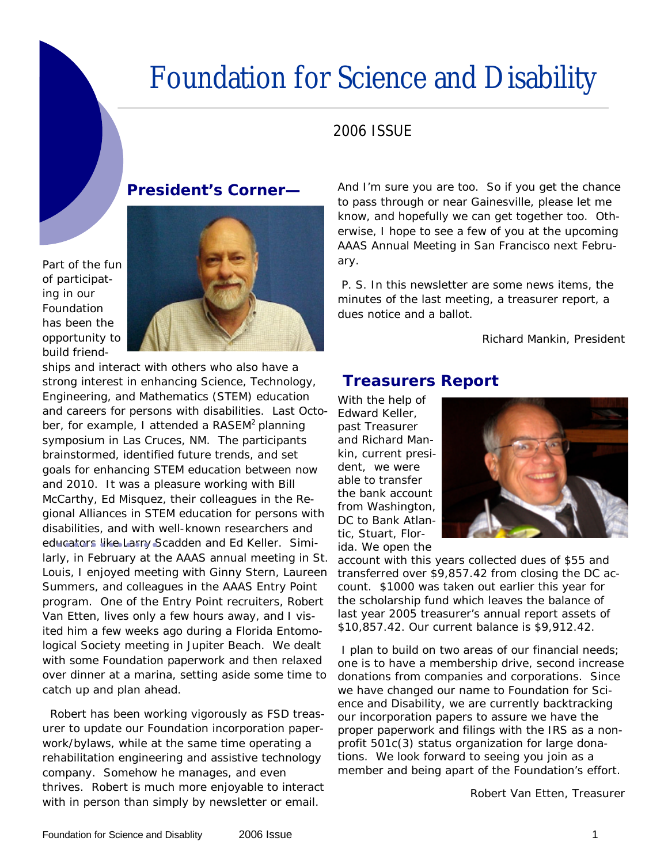# Foundation for Science and Disability

#### 2006 ISSUE

#### **President's Corner—**

Part of the fun of participating in our Foundation has been the opportunity to build friend-



ships and interact with others who also have a strong interest in enhancing Science, Technology, Engineering, and Mathematics (STEM) education and careers for persons with disabilities. Last October, for example, I attended a RASEM<sup>2</sup> planning symposium in Las Cruces, NM. The participants brainstormed, identified future trends, and set goals for enhancing STEM education between now and 2010. It was a pleasure working with Bill McCarthy, Ed Misquez, their colleagues in the Regional Alliances in STEM education for persons with disabilities, and with well-known researchers and educators like Larry Scadden and Ed Keller. Similarly, in February at the AAAS annual meeting in St. Louis, I enjoyed meeting with Ginny Stern, Laureen Summers, and colleagues in the AAAS Entry Point program. One of the Entry Point recruiters, Robert Van Etten, lives only a few hours away, and I visited him a few weeks ago during a Florida Entomological Society meeting in Jupiter Beach. We dealt with some Foundation paperwork and then relaxed over dinner at a marina, setting aside some time to catch up and plan ahead.

 Robert has been working vigorously as FSD treasurer to update our Foundation incorporation paperwork/bylaws, while at the same time operating a rehabilitation engineering and assistive technology company. Somehow he manages, and even thrives. Robert is much more enjoyable to interact with in person than simply by newsletter or email.

And I'm sure you are too. So if you get the chance to pass through or near Gainesville, please let me know, and hopefully we can get together too. Otherwise, I hope to see a few of you at the upcoming AAAS Annual Meeting in San Francisco next February.

 P. S. In this newsletter are some news items, the minutes of the last meeting, a treasurer report, a dues notice and a ballot.

Richard Mankin, President

# **Treasurers Report**

With the help of Edward Keller, past Treasurer and Richard Mankin, current president, we were able to transfer the bank account from Washington, DC to Bank Atlantic, Stuart, Florida. We open the



account with this years collected dues of \$55 and transferred over \$9,857.42 from closing the DC account. \$1000 was taken out earlier this year for the scholarship fund which leaves the balance of last year 2005 treasurer's annual report assets of \$10,857.42. Our current balance is \$9,912.42.

 I plan to build on two areas of our financial needs; one is to have a membership drive, second increase donations from companies and corporations. Since we have changed our name to Foundation for Science and Disability, we are currently backtracking our incorporation papers to assure we have the proper paperwork and filings with the IRS as a nonprofit 501c(3) status organization for large donations. We look forward to seeing you join as a member and being apart of the Foundation's effort.

Robert Van Etten, Treasurer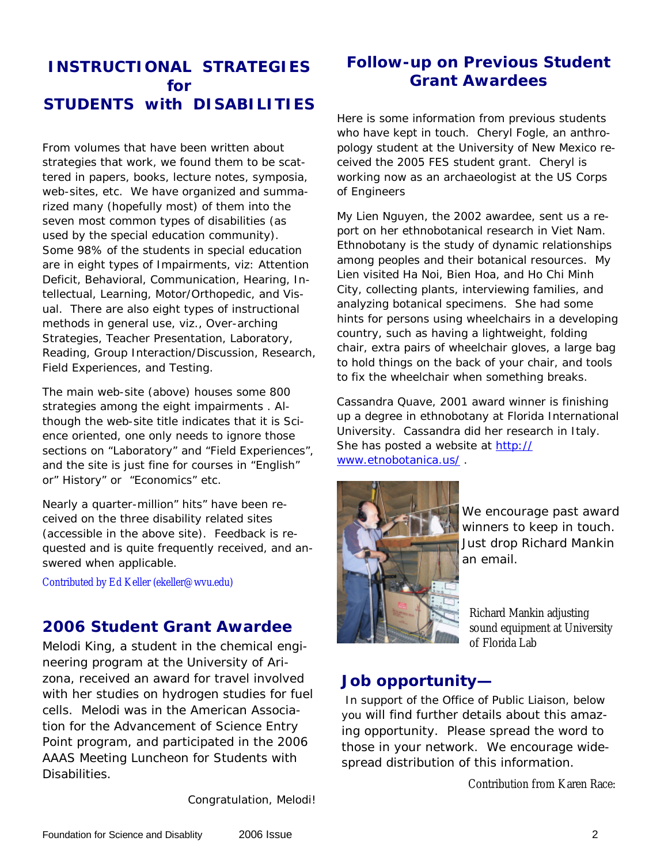#### **INSTRUCTIONAL STRATEGIES for STUDENTS with DISABILITIES**

From volumes that have been written about strategies that work, we found them to be scattered in papers, books, lecture notes, symposia, web-sites, etc. We have organized and summarized many (hopefully most) of them into the seven most common types of disabilities (as used by the special education community). Some 98% of the students in special education are in eight types of Impairments, viz: Attention Deficit, Behavioral, Communication, Hearing, Intellectual, Learning, Motor/Orthopedic, and Visual. There are also eight types of instructional methods in general use, viz., Over-arching Strategies, Teacher Presentation, Laboratory, Reading, Group Interaction/Discussion, Research, Field Experiences, and Testing.

The main web-site (above) houses some 800 strategies among the eight impairments . Although the web-site title indicates that it is Science oriented, one only needs to ignore those sections on "Laboratory" and "Field Experiences", and the site is just fine for courses in "English" or" History" or "Economics" etc.

Nearly a quarter-million" hits" have been received on the three disability related sites (accessible in the above site). Feedback is requested and is quite frequently received, and answered when applicable.

Contributed by Ed Keller (ekeller@wvu.edu)

## **2006 Student Grant Awardee**

Melodi King, a student in the chemical engineering program at the University of Arizona, received an award for travel involved with her studies on hydrogen studies for fuel cells. Melodi was in the American Association for the Advancement of Science Entry Point program, and participated in the 2006 AAAS Meeting Luncheon for Students with **Disabilities** 

Congratulation, Melodi!

#### **Follow-up on Previous Student Grant Awardees**

Here is some information from previous students who have kept in touch. Cheryl Fogle, an anthropology student at the University of New Mexico received the 2005 FES student grant. Cheryl is working now as an archaeologist at the US Corps of Engineers

My Lien Nguyen, the 2002 awardee, sent us a report on her ethnobotanical research in Viet Nam. Ethnobotany is the study of dynamic relationships among peoples and their botanical resources. My Lien visited Ha Noi, Bien Hoa, and Ho Chi Minh City, collecting plants, interviewing families, and analyzing botanical specimens. She had some hints for persons using wheelchairs in a developing country, such as having a lightweight, folding chair, extra pairs of wheelchair gloves, a large bag to hold things on the back of your chair, and tools to fix the wheelchair when something breaks.

Cassandra Quave, 2001 award winner is finishing up a degree in ethnobotany at Florida International University. Cassandra did her research in Italy. She has posted a website at http:// www.etnobotanica.us/ .



We encourage past award winners to keep in touch. Just drop Richard Mankin an email.

Richard Mankin adjusting sound equipment at University of Florida Lab

#### **Job opportunity—**

 In support of the Office of Public Liaison, below you will find further details about this amazing opportunity. Please spread the word to those in your network. We encourage widespread distribution of this information.

Contribution from Karen Race: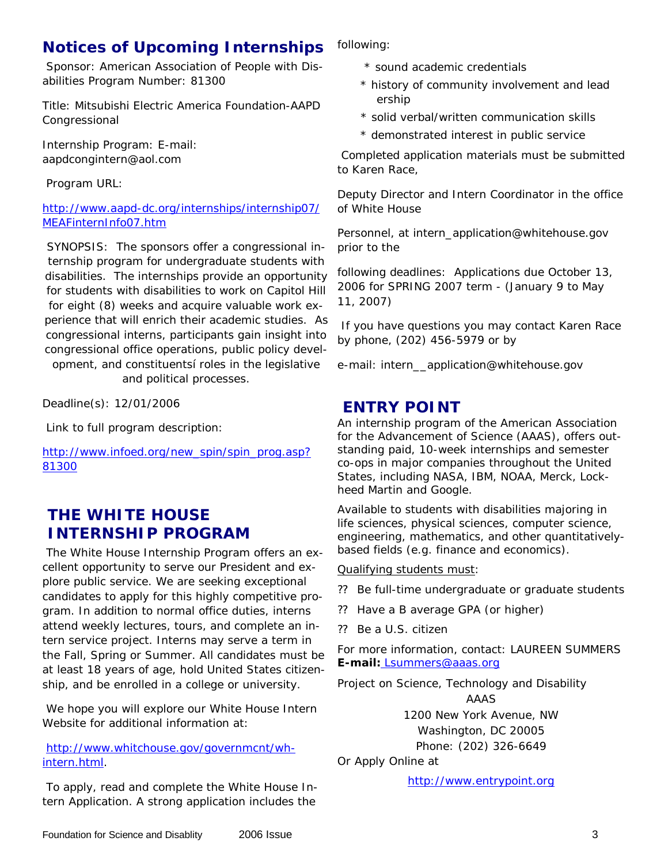# **Notices of Upcoming Internships**

 Sponsor: American Association of People with Disabilities Program Number: 81300

Title: Mitsubishi Electric America Foundation-AAPD Congressional

Internship Program: E-mail: aapdcongintern@aol.com

Program URL:

http://www.aapd-dc.org/internships/internship07/ MEAFinternInfo07.htm

SYNOPSIS: The sponsors offer a congressional internship program for undergraduate students with disabilities. The internships provide an opportunity for students with disabilities to work on Capitol Hill for eight (8) weeks and acquire valuable work experience that will enrich their academic studies. As congressional interns, participants gain insight into congressional office operations, public policy development, and constituentsí roles in the legislative

and political processes.

Deadline(s): 12/01/2006

Link to full program description:

http://www.infoed.org/new\_spin/spin\_prog.asp? 81300

## **THE WHITE HOUSE INTERNSHIP PROGRAM**

 The White House Internship Program offers an excellent opportunity to serve our President and explore public service. We are seeking exceptional candidates to apply for this highly competitive program. In addition to normal office duties, interns attend weekly lectures, tours, and complete an intern service project. Interns may serve a term in the Fall, Spring or Summer. All candidates must be at least 18 years of age, hold United States citizenship, and be enrolled in a college or university.

 We hope you will explore our White House Intern Website for additional information at:

#### http://www.whitchouse.gov/governmcnt/whintern.html.

 To apply, read and complete the White House Intern Application. A strong application includes the

following:

- \* sound academic credentials
- \* history of community involvement and lead ership
- \* solid verbal/written communication skills
- \* demonstrated interest in public service

 Completed application materials must be submitted to Karen Race,

Deputy Director and Intern Coordinator in the office of White House

Personnel, at intern\_application@whitehouse.gov prior to the

following deadlines: Applications due October 13, 2006 for SPRING 2007 term - (January 9 to May 11, 2007)

 If you have questions you may contact Karen Race by phone, (202) 456-5979 or by

e-mail: intern\_\_application@whitehouse.gov

#### **ENTRY POINT**

An internship program of the American Association for the Advancement of Science (AAAS), offers outstanding paid, 10-week internships and semester co-ops in major companies throughout the United States, including NASA, IBM, NOAA, Merck, Lockheed Martin and Google.

Available to students with disabilities majoring in life sciences, physical sciences, computer science, engineering, mathematics, and other quantitativelybased fields (e.g. finance and economics).

Qualifying students must:

- ? ? Be full-time undergraduate or graduate students
- ?? Have a B average GPA (or higher)
- ?? Be a U.S. citizen

For more information, contact: LAUREEN SUMMERS **E-mail:** Lsummers@aaas.org

Project on Science, Technology and Disability

AAAS 1200 New York Avenue, NW Washington, DC 20005 Phone: (202) 326-6649

Or Apply Online at

http://www.entrypoint.org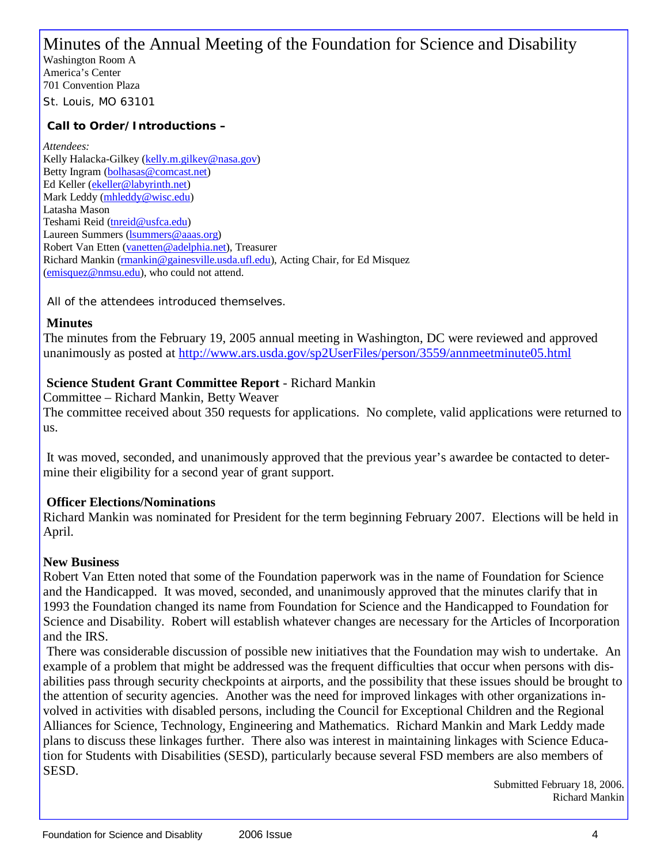# Minutes of the Annual Meeting of the Foundation for Science and Disability

Washington Room A America's Center 701 Convention Plaza St. Louis, MO 63101

#### **Call to Order/Introductions –**

*Attendees:* Kelly Halacka-Gilkey (kelly.m.gilkey@nasa.gov) Betty Ingram (bolhasas@comcast.net) Ed Keller (ekeller@labyrinth.net) Mark Leddy (mhleddy@wisc.edu) Latasha Mason Teshami Reid (tnreid@usfca.edu) Laureen Summers (*lsummers@aaas.org*) Robert Van Etten (vanetten@adelphia.net), Treasurer Richard Mankin (rmankin@gainesville.usda.ufl.edu), Acting Chair, for Ed Misquez (emisquez@nmsu.edu), who could not attend.

All of the attendees introduced themselves.

#### **Minutes**

The minutes from the February 19, 2005 annual meeting in Washington, DC were reviewed and approved unanimously as posted at http://www.ars.usda.gov/sp2UserFiles/person/3559/annmeetminute05.html

#### **Science Student Grant Committee Report** - Richard Mankin

Committee – Richard Mankin, Betty Weaver The committee received about 350 requests for applications. No complete, valid applications were returned to us.

 It was moved, seconded, and unanimously approved that the previous year's awardee be contacted to determine their eligibility for a second year of grant support.

#### **Officer Elections/Nominations**

Richard Mankin was nominated for President for the term beginning February 2007. Elections will be held in April.

#### **New Business**

Robert Van Etten noted that some of the Foundation paperwork was in the name of Foundation for Science and the Handicapped. It was moved, seconded, and unanimously approved that the minutes clarify that in 1993 the Foundation changed its name from Foundation for Science and the Handicapped to Foundation for Science and Disability. Robert will establish whatever changes are necessary for the Articles of Incorporation and the IRS.

 There was considerable discussion of possible new initiatives that the Foundation may wish to undertake. An example of a problem that might be addressed was the frequent difficulties that occur when persons with disabilities pass through security checkpoints at airports, and the possibility that these issues should be brought to the attention of security agencies. Another was the need for improved linkages with other organizations involved in activities with disabled persons, including the Council for Exceptional Children and the Regional Alliances for Science, Technology, Engineering and Mathematics. Richard Mankin and Mark Leddy made plans to discuss these linkages further. There also was interest in maintaining linkages with Science Education for Students with Disabilities (SESD), particularly because several FSD members are also members of SESD.

 Submitted February 18, 2006. Richard Mankin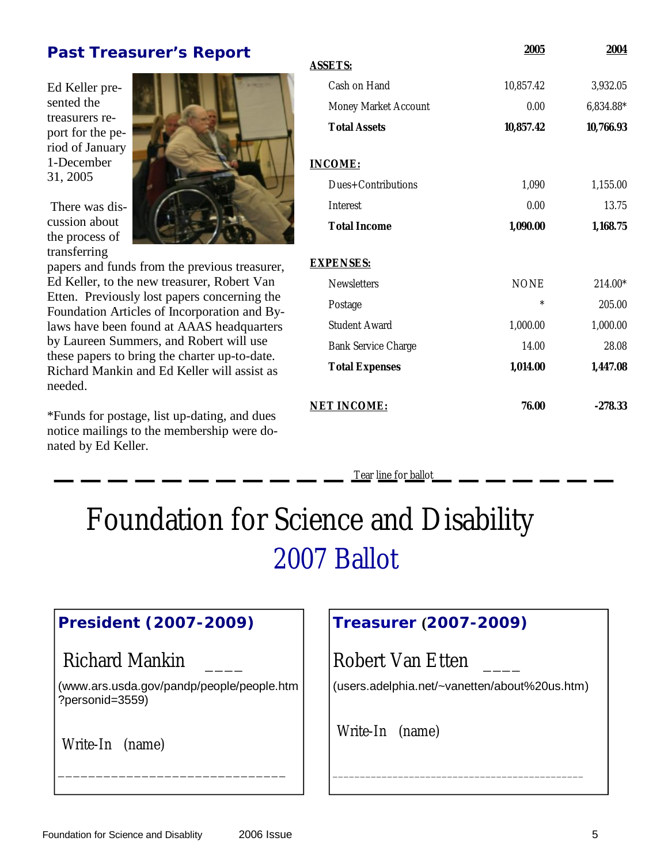#### **Past Treasurer's Report**

Ed Keller presented the treasurers report for the period of January 1-December 31, 2005

 There was discussion about the process of transferring



papers and funds from the previous treasurer, Ed Keller, to the new treasurer, Robert Van Etten. Previously lost papers concerning the Foundation Articles of Incorporation and Bylaws have been found at AAAS headquarters by Laureen Summers, and Robert will use these papers to bring the charter up-to-date. Richard Mankin and Ed Keller will assist as needed.

\*Funds for postage, list up-dating, and dues notice mailings to the membership were donated by Ed Keller.

|                            | <b>2005</b> | 2004      |
|----------------------------|-------------|-----------|
| <b>ASSETS:</b>             |             |           |
| Cash on Hand               | 10,857.42   | 3,932.05  |
| Money Market Account       | 0.00        | 6,834.88* |
| <b>Total Assets</b>        | 10,857.42   | 10,766.93 |
| <b>INCOME:</b>             |             |           |
| Dues+Contributions         | 1,090       | 1,155.00  |
| Interest                   | 0.00        | 13.75     |
| <b>Total Income</b>        | 1,090.00    | 1,168.75  |
| <b>EXPENSES:</b>           |             |           |
| <b>Newsletters</b>         | <b>NONE</b> | 214.00*   |
| Postage                    | $\ast$      | 205.00    |
| <b>Student Award</b>       | 1,000.00    | 1,000.00  |
| <b>Bank Service Charge</b> | 14.00       | 28.08     |
| <b>Total Expenses</b>      | 1,014.00    | 1,447.08  |
| <b>NET INCOME:</b>         | 76.00       | -278.33   |
|                            |             |           |

Tear line for ballot

# Foundation for Science and Disability 2007 Ballot

## **President (2007-2009)**

Richard Mankin \_\_\_\_

(www.ars.usda.gov/pandp/people/people.htm ?personid=3559)

\_\_\_\_\_\_\_\_\_\_\_\_\_\_\_\_\_\_\_\_\_\_\_\_\_\_\_\_\_\_

Write-In (name)

## **Treasurer (2007-2009)**

Robert Van Etten \_\_\_\_

(users.adelphia.net/~vanetten/about%20us.htm)

\_\_\_\_\_\_\_\_\_\_\_\_\_\_\_\_\_\_\_\_\_\_\_\_\_\_\_\_\_\_\_\_\_\_\_\_\_\_\_\_\_\_\_\_\_\_

Write-In (name)